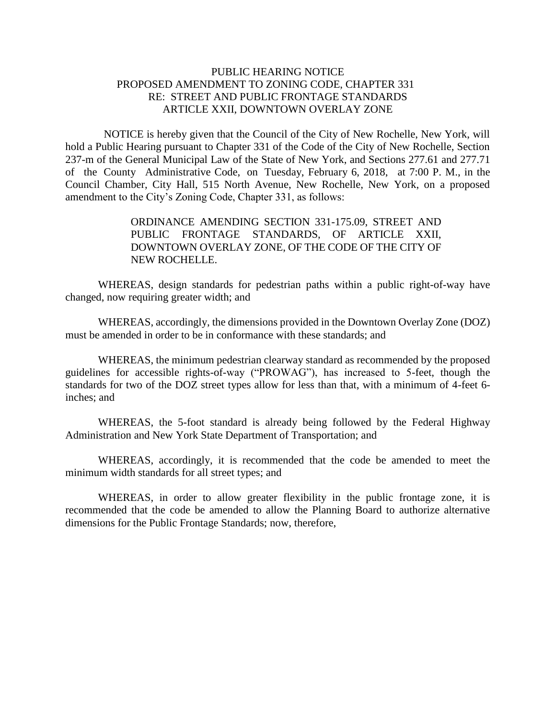## PUBLIC HEARING NOTICE PROPOSED AMENDMENT TO ZONING CODE, CHAPTER 331 RE: STREET AND PUBLIC FRONTAGE STANDARDS ARTICLE XXII, DOWNTOWN OVERLAY ZONE

 NOTICE is hereby given that the Council of the City of New Rochelle, New York, will hold a Public Hearing pursuant to Chapter 331 of the Code of the City of New Rochelle, Section 237-m of the General Municipal Law of the State of New York, and Sections 277.61 and 277.71 of the County Administrative Code, on Tuesday, February 6, 2018, at 7:00 P. M., in the Council Chamber, City Hall, 515 North Avenue, New Rochelle, New York, on a proposed amendment to the City's Zoning Code, Chapter 331, as follows:

> ORDINANCE AMENDING SECTION 331-175.09, STREET AND PUBLIC FRONTAGE STANDARDS, OF ARTICLE XXII, DOWNTOWN OVERLAY ZONE, OF THE CODE OF THE CITY OF NEW ROCHELLE.

WHEREAS, design standards for pedestrian paths within a public right-of-way have changed, now requiring greater width; and

WHEREAS, accordingly, the dimensions provided in the Downtown Overlay Zone (DOZ) must be amended in order to be in conformance with these standards; and

WHEREAS, the minimum pedestrian clearway standard as recommended by the proposed guidelines for accessible rights-of-way ("PROWAG"), has increased to 5-feet, though the standards for two of the DOZ street types allow for less than that, with a minimum of 4-feet 6 inches; and

WHEREAS, the 5-foot standard is already being followed by the Federal Highway Administration and New York State Department of Transportation; and

WHEREAS, accordingly, it is recommended that the code be amended to meet the minimum width standards for all street types; and

WHEREAS, in order to allow greater flexibility in the public frontage zone, it is recommended that the code be amended to allow the Planning Board to authorize alternative dimensions for the Public Frontage Standards; now, therefore,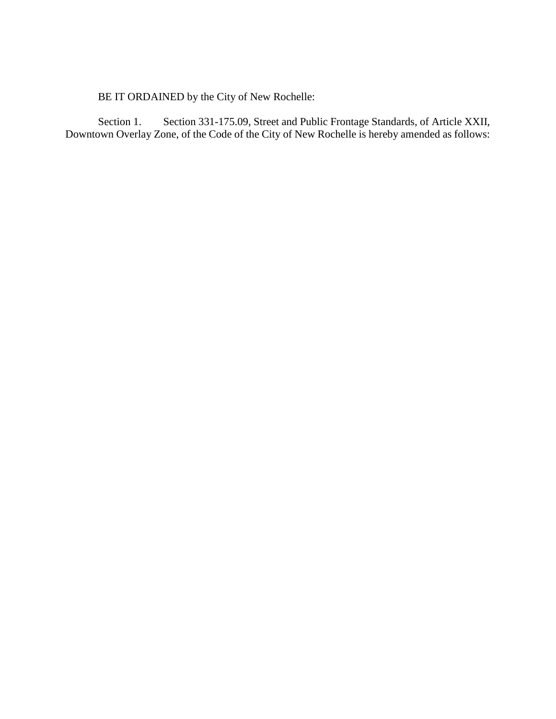BE IT ORDAINED by the City of New Rochelle:

Section 1. Section 331-175.09, Street and Public Frontage Standards, of Article XXII, Downtown Overlay Zone, of the Code of the City of New Rochelle is hereby amended as follows: